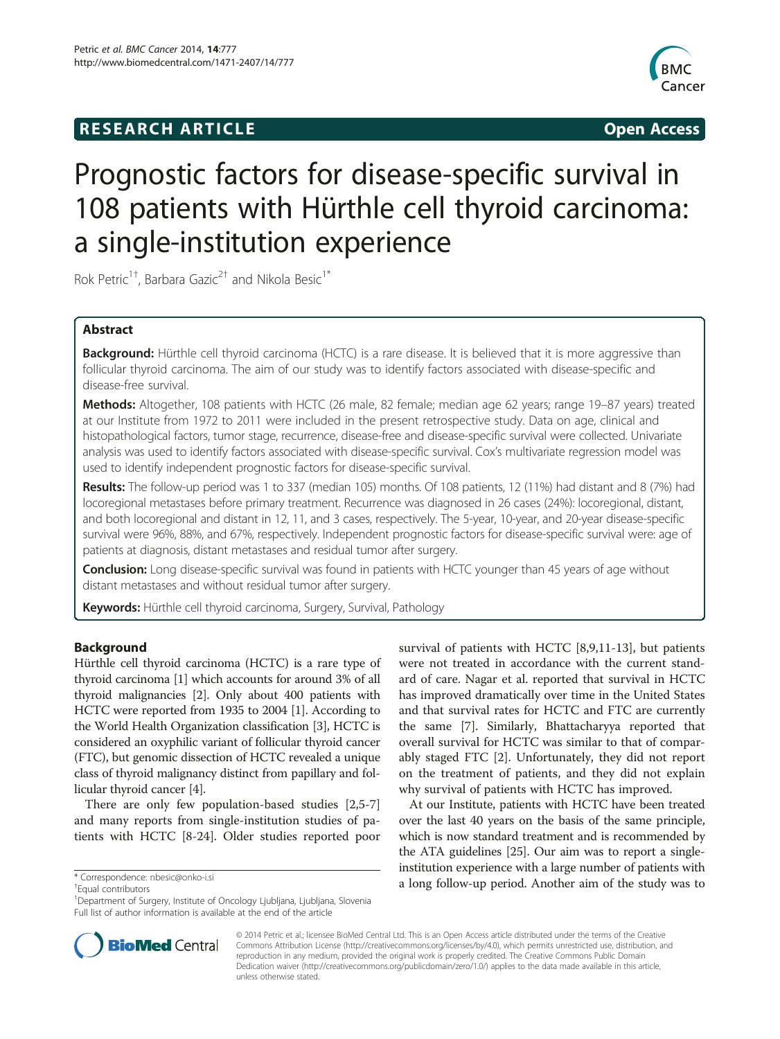## **RESEARCH ARTICLE Example 2014 CONSIDERING CONSIDERING CONSIDERING CONSIDERING CONSIDERING CONSIDERING CONSIDERING CONSIDERING CONSIDERING CONSIDERING CONSIDERING CONSIDERING CONSIDERING CONSIDERING CONSIDERING CONSIDE**



# Prognostic factors for disease-specific survival in 108 patients with Hürthle cell thyroid carcinoma: a single-institution experience

Rok Petric<sup>1†</sup>, Barbara Gazic<sup>2†</sup> and Nikola Besic<sup>1\*</sup>

## Abstract

Background: Hürthle cell thyroid carcinoma (HCTC) is a rare disease. It is believed that it is more aggressive than follicular thyroid carcinoma. The aim of our study was to identify factors associated with disease-specific and disease-free survival.

Methods: Altogether, 108 patients with HCTC (26 male, 82 female; median age 62 years; range 19-87 years) treated at our Institute from 1972 to 2011 were included in the present retrospective study. Data on age, clinical and histopathological factors, tumor stage, recurrence, disease-free and disease-specific survival were collected. Univariate analysis was used to identify factors associated with disease-specific survival. Cox's multivariate regression model was used to identify independent prognostic factors for disease-specific survival.

Results: The follow-up period was 1 to 337 (median 105) months. Of 108 patients, 12 (11%) had distant and 8 (7%) had locoregional metastases before primary treatment. Recurrence was diagnosed in 26 cases (24%): locoregional, distant, and both locoregional and distant in 12, 11, and 3 cases, respectively. The 5-year, 10-year, and 20-year disease-specific survival were 96%, 88%, and 67%, respectively. Independent prognostic factors for disease-specific survival were: age of patients at diagnosis, distant metastases and residual tumor after surgery.

**Conclusion:** Long disease-specific survival was found in patients with HCTC younger than 45 years of age without distant metastases and without residual tumor after surgery.

Keywords: Hürthle cell thyroid carcinoma, Surgery, Survival, Pathology

## Background

Hürthle cell thyroid carcinoma (HCTC) is a rare type of thyroid carcinoma [[1](#page-8-0)] which accounts for around 3% of all thyroid malignancies [\[2\]](#page-8-0). Only about 400 patients with HCTC were reported from 1935 to 2004 [\[1](#page-8-0)]. According to the World Health Organization classification [[3\]](#page-8-0), HCTC is considered an oxyphilic variant of follicular thyroid cancer (FTC), but genomic dissection of HCTC revealed a unique class of thyroid malignancy distinct from papillary and follicular thyroid cancer [\[4](#page-8-0)].

There are only few population-based studies [[2,5-7](#page-8-0)] and many reports from single-institution studies of patients with HCTC [\[8-24](#page-8-0)]. Older studies reported poor

Equal contributors

survival of patients with HCTC [[8,9,11-13](#page-8-0)], but patients were not treated in accordance with the current standard of care. Nagar et al. reported that survival in HCTC has improved dramatically over time in the United States and that survival rates for HCTC and FTC are currently the same [\[7\]](#page-8-0). Similarly, Bhattacharyya reported that overall survival for HCTC was similar to that of comparably staged FTC [\[2](#page-8-0)]. Unfortunately, they did not report on the treatment of patients, and they did not explain why survival of patients with HCTC has improved.

At our Institute, patients with HCTC have been treated over the last 40 years on the basis of the same principle, which is now standard treatment and is recommended by the ATA guidelines [[25](#page-8-0)]. Our aim was to report a singleinstitution experience with a large number of patients with \* Correspondence: [nbesic@onko-i.si](mailto:nbesic@onko-i.si) **a** long follow-up period. Another aim of the study was to \* <sup>†</sup> Fqual contributors



© 2014 Petric et al.; licensee BioMed Central Ltd. This is an Open Access article distributed under the terms of the Creative Commons Attribution License [\(http://creativecommons.org/licenses/by/4.0\)](http://creativecommons.org/licenses/by/4.0), which permits unrestricted use, distribution, and reproduction in any medium, provided the original work is properly credited. The Creative Commons Public Domain Dedication waiver [\(http://creativecommons.org/publicdomain/zero/1.0/](http://creativecommons.org/publicdomain/zero/1.0/)) applies to the data made available in this article, unless otherwise stated.

<sup>1</sup> Department of Surgery, Institute of Oncology Ljubljana, Ljubljana, Slovenia Full list of author information is available at the end of the article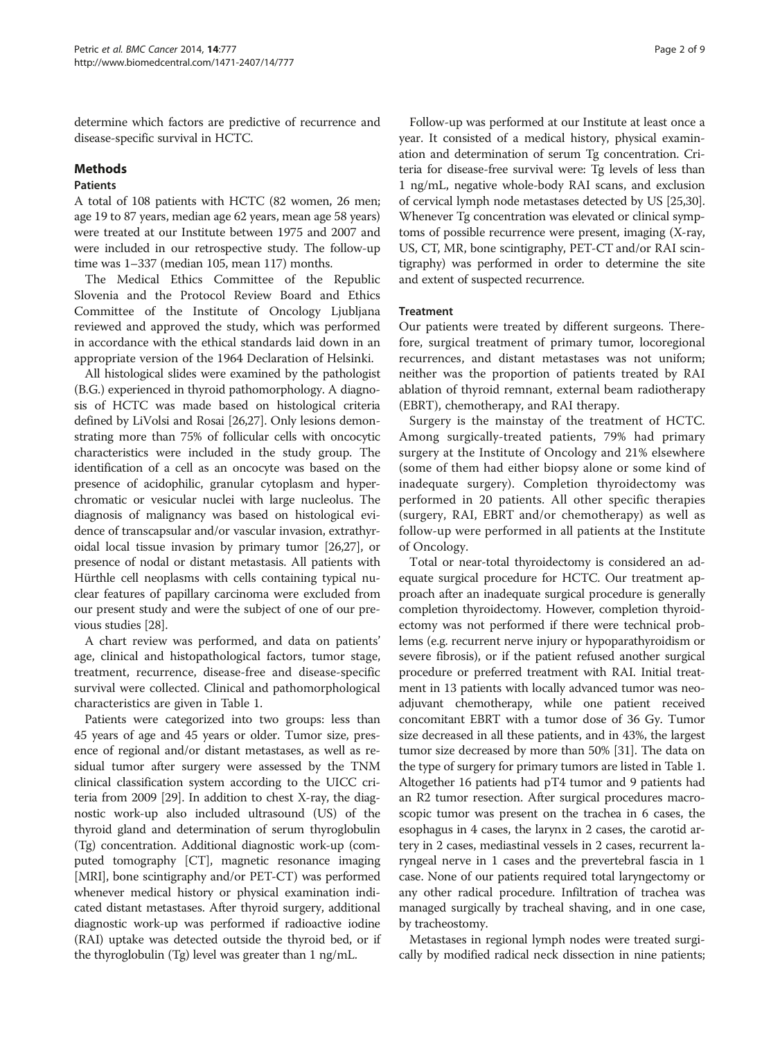determine which factors are predictive of recurrence and disease-specific survival in HCTC.

#### Methods

### **Patients**

A total of 108 patients with HCTC (82 women, 26 men; age 19 to 87 years, median age 62 years, mean age 58 years) were treated at our Institute between 1975 and 2007 and were included in our retrospective study. The follow-up time was 1–337 (median 105, mean 117) months.

The Medical Ethics Committee of the Republic Slovenia and the Protocol Review Board and Ethics Committee of the Institute of Oncology Ljubljana reviewed and approved the study, which was performed in accordance with the ethical standards laid down in an appropriate version of the 1964 Declaration of Helsinki.

All histological slides were examined by the pathologist (B.G.) experienced in thyroid pathomorphology. A diagnosis of HCTC was made based on histological criteria defined by LiVolsi and Rosai [\[26,27\]](#page-8-0). Only lesions demonstrating more than 75% of follicular cells with oncocytic characteristics were included in the study group. The identification of a cell as an oncocyte was based on the presence of acidophilic, granular cytoplasm and hyperchromatic or vesicular nuclei with large nucleolus. The diagnosis of malignancy was based on histological evidence of transcapsular and/or vascular invasion, extrathyroidal local tissue invasion by primary tumor [[26,27](#page-8-0)], or presence of nodal or distant metastasis. All patients with Hürthle cell neoplasms with cells containing typical nuclear features of papillary carcinoma were excluded from our present study and were the subject of one of our previous studies [\[28\]](#page-8-0).

A chart review was performed, and data on patients' age, clinical and histopathological factors, tumor stage, treatment, recurrence, disease-free and disease-specific survival were collected. Clinical and pathomorphological characteristics are given in Table [1](#page-2-0).

Patients were categorized into two groups: less than 45 years of age and 45 years or older. Tumor size, presence of regional and/or distant metastases, as well as residual tumor after surgery were assessed by the TNM clinical classification system according to the UICC criteria from 2009 [\[29\]](#page-8-0). In addition to chest X-ray, the diagnostic work-up also included ultrasound (US) of the thyroid gland and determination of serum thyroglobulin (Tg) concentration. Additional diagnostic work-up (computed tomography [CT], magnetic resonance imaging [MRI], bone scintigraphy and/or PET-CT) was performed whenever medical history or physical examination indicated distant metastases. After thyroid surgery, additional diagnostic work-up was performed if radioactive iodine (RAI) uptake was detected outside the thyroid bed, or if the thyroglobulin (Tg) level was greater than 1 ng/mL.

Follow-up was performed at our Institute at least once a year. It consisted of a medical history, physical examination and determination of serum Tg concentration. Criteria for disease-free survival were: Tg levels of less than 1 ng/mL, negative whole-body RAI scans, and exclusion of cervical lymph node metastases detected by US [\[25,30](#page-8-0)]. Whenever Tg concentration was elevated or clinical symptoms of possible recurrence were present, imaging (X-ray, US, CT, MR, bone scintigraphy, PET-CT and/or RAI scintigraphy) was performed in order to determine the site and extent of suspected recurrence.

### **Treatment**

Our patients were treated by different surgeons. Therefore, surgical treatment of primary tumor, locoregional recurrences, and distant metastases was not uniform; neither was the proportion of patients treated by RAI ablation of thyroid remnant, external beam radiotherapy (EBRT), chemotherapy, and RAI therapy.

Surgery is the mainstay of the treatment of HCTC. Among surgically-treated patients, 79% had primary surgery at the Institute of Oncology and 21% elsewhere (some of them had either biopsy alone or some kind of inadequate surgery). Completion thyroidectomy was performed in 20 patients. All other specific therapies (surgery, RAI, EBRT and/or chemotherapy) as well as follow-up were performed in all patients at the Institute of Oncology.

Total or near-total thyroidectomy is considered an adequate surgical procedure for HCTC. Our treatment approach after an inadequate surgical procedure is generally completion thyroidectomy. However, completion thyroidectomy was not performed if there were technical problems (e.g. recurrent nerve injury or hypoparathyroidism or severe fibrosis), or if the patient refused another surgical procedure or preferred treatment with RAI. Initial treatment in 13 patients with locally advanced tumor was neoadjuvant chemotherapy, while one patient received concomitant EBRT with a tumor dose of 36 Gy. Tumor size decreased in all these patients, and in 43%, the largest tumor size decreased by more than 50% [[31](#page-8-0)]. The data on the type of surgery for primary tumors are listed in Table [1](#page-2-0). Altogether 16 patients had pT4 tumor and 9 patients had an R2 tumor resection. After surgical procedures macroscopic tumor was present on the trachea in 6 cases, the esophagus in 4 cases, the larynx in 2 cases, the carotid artery in 2 cases, mediastinal vessels in 2 cases, recurrent laryngeal nerve in 1 cases and the prevertebral fascia in 1 case. None of our patients required total laryngectomy or any other radical procedure. Infiltration of trachea was managed surgically by tracheal shaving, and in one case, by tracheostomy.

Metastases in regional lymph nodes were treated surgically by modified radical neck dissection in nine patients;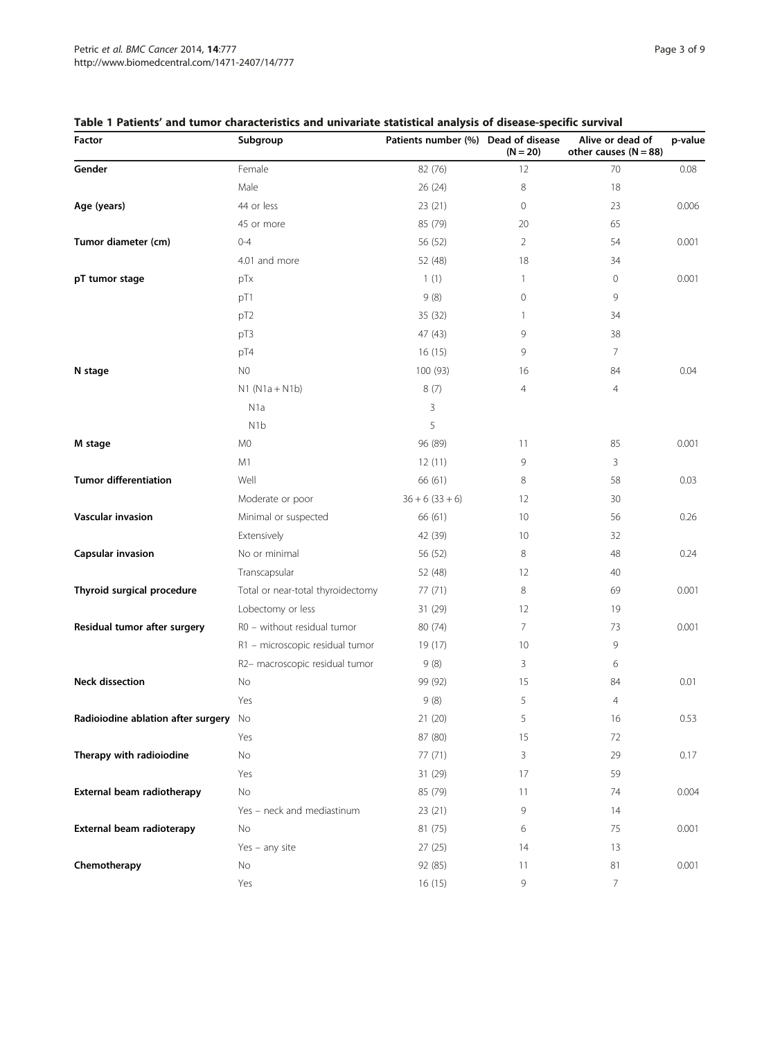| Factor                                | Subgroup                          | Patients number (%) Dead of disease | $(N = 20)$        | Alive or dead of<br>other causes $(N = 88)$ | p-value |
|---------------------------------------|-----------------------------------|-------------------------------------|-------------------|---------------------------------------------|---------|
| Gender                                | Female                            | 82 (76)                             | 12                | 70                                          | 0.08    |
|                                       | Male                              | 26(24)                              | 8                 | 18                                          |         |
| Age (years)                           | 44 or less                        | 23(21)                              | $\mathbf 0$       | 23                                          | 0.006   |
|                                       | 45 or more                        | 85 (79)                             | 20                | 65                                          |         |
| Tumor diameter (cm)                   | $0 - 4$                           | 56 (52)                             | $\overline{2}$    | 54                                          | 0.001   |
|                                       | 4.01 and more                     | 52 (48)                             | 18                | 34                                          |         |
| pT tumor stage                        | pTx                               | 1(1)                                | $\mathbf{1}$      | 0                                           | 0.001   |
|                                       | pT1                               | 9(8)                                | $\mathbf{0}$      | 9                                           |         |
|                                       | pT <sub>2</sub>                   | 35 (32)                             | 1                 | 34                                          |         |
|                                       | pT3                               | 47 (43)                             | 9                 | 38                                          |         |
|                                       | pT4                               | 16(15)                              | 9                 | $\overline{7}$                              |         |
| N stage                               | N0                                | 100 (93)                            | 16                | 84                                          | 0.04    |
|                                       | $N1 (N1a + N1b)$                  | 8(7)                                | 4                 | 4                                           |         |
|                                       | N <sub>1</sub> a                  | 3                                   |                   |                                             |         |
|                                       | N <sub>1</sub> b                  | 5                                   |                   |                                             |         |
| M stage                               | M <sub>0</sub>                    | 96 (89)                             | 11                | 85                                          | 0.001   |
|                                       | M1                                | 12(11)                              | 9                 | 3                                           |         |
| <b>Tumor differentiation</b>          | Well                              | 66 (61)                             | 8                 | 58                                          | 0.03    |
|                                       | Moderate or poor                  | $36 + 6(33 + 6)$                    | $12 \overline{ }$ | 30                                          |         |
| Vascular invasion                     | Minimal or suspected              | 66 (61)                             | 10                | 56                                          | 0.26    |
|                                       | Extensively                       | 42 (39)                             | 10                | 32                                          |         |
| <b>Capsular invasion</b>              | No or minimal                     | 56 (52)                             | 8                 | 48                                          | 0.24    |
|                                       | Transcapsular                     | 52 (48)                             | 12                | 40                                          |         |
| Thyroid surgical procedure            | Total or near-total thyroidectomy | 77 (71)                             | 8                 | 69                                          | 0.001   |
|                                       | Lobectomy or less                 | 31 (29)                             | 12                | 19                                          |         |
| Residual tumor after surgery          | R0 - without residual tumor       | 80 (74)                             | $\overline{7}$    | 73                                          | 0.001   |
|                                       | R1 - microscopic residual tumor   | 19 (17)                             | 10                | 9                                           |         |
|                                       | R2- macroscopic residual tumor    | 9(8)                                | 3                 | 6                                           |         |
| <b>Neck dissection</b>                | No                                | 99 (92)                             | 15                | 84                                          | 0.01    |
|                                       | Yes                               | 9(8)                                | 5                 | 4                                           |         |
| Radioiodine ablation after surgery No |                                   | 21 (20)                             | 5                 | 16                                          | 0.53    |
|                                       | Yes                               | 87 (80)                             | 15                | 72                                          |         |
| Therapy with radioiodine              | No                                | 77 (71)                             | 3                 | 29                                          | 0.17    |
|                                       | Yes                               | 31 (29)                             | 17                | 59                                          |         |
| External beam radiotherapy            | No                                | 85 (79)                             | 11                | 74                                          | 0.004   |
|                                       | Yes - neck and mediastinum        | 23(21)                              | 9                 | 14                                          |         |
| External beam radioterapy             | No                                | 81 (75)                             | 6                 | 75                                          | 0.001   |
|                                       | $Yes - any site$                  | 27(25)                              | 14                | 13                                          |         |
| Chemotherapy                          | No                                | 92 (85)                             | 11                | 81                                          | 0.001   |
|                                       | Yes                               | 16(15)                              | 9                 | 7                                           |         |

## <span id="page-2-0"></span>Table 1 Patients' and tumor characteristics and univariate statistical analysis of disease-specific survival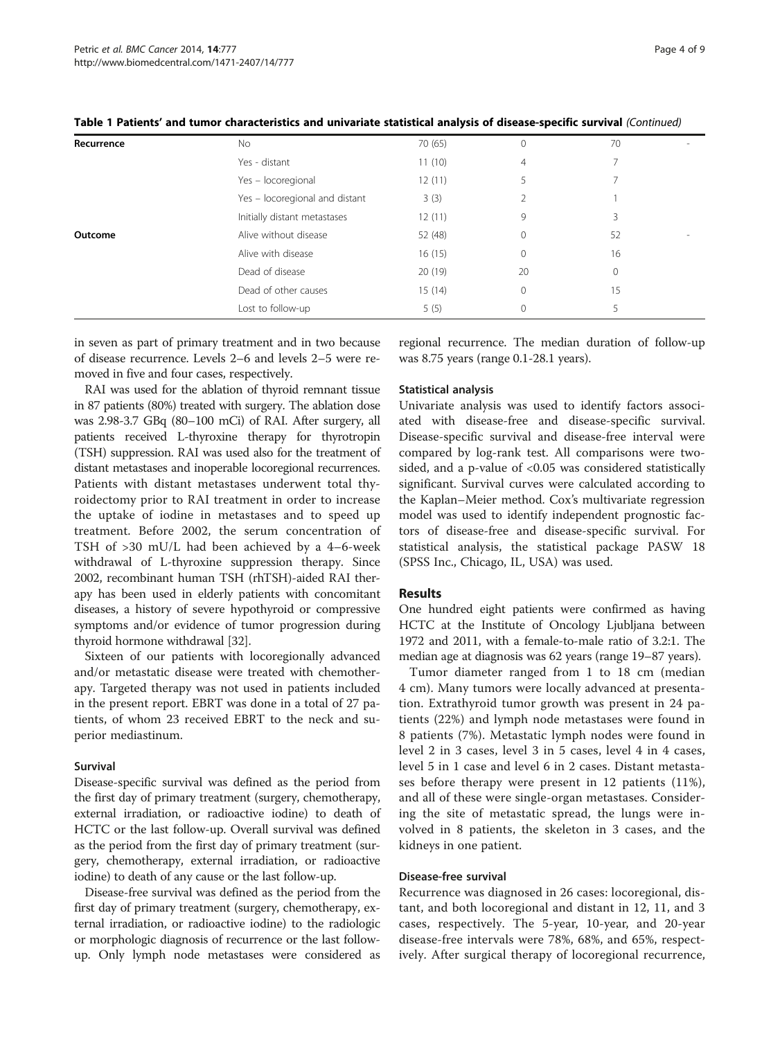| Recurrence | No.                            | 70 (65) | 0            | 70 |  |
|------------|--------------------------------|---------|--------------|----|--|
|            | Yes - distant                  | 11(10)  | 4            |    |  |
|            | Yes - locoregional             | 12(11)  | 5            |    |  |
|            | Yes - locoregional and distant | 3(3)    |              |    |  |
|            | Initially distant metastases   | 12(11)  | 9            | 3  |  |
| Outcome    | Alive without disease          | 52 (48) | $\mathbf{0}$ | 52 |  |
|            | Alive with disease             | 16(15)  | 0            | 16 |  |
|            | Dead of disease                | 20(19)  | 20           | 0  |  |
|            | Dead of other causes           | 15(14)  | $\mathbf{0}$ | 15 |  |
|            | Lost to follow-up              | 5(5)    | $\Omega$     | 5  |  |

Table 1 Patients' and tumor characteristics and univariate statistical analysis of disease-specific survival (Continued)

in seven as part of primary treatment and in two because of disease recurrence. Levels 2–6 and levels 2–5 were removed in five and four cases, respectively.

RAI was used for the ablation of thyroid remnant tissue in 87 patients (80%) treated with surgery. The ablation dose was 2.98-3.7 GBq (80–100 mCi) of RAI. After surgery, all patients received L-thyroxine therapy for thyrotropin (TSH) suppression. RAI was used also for the treatment of distant metastases and inoperable locoregional recurrences. Patients with distant metastases underwent total thyroidectomy prior to RAI treatment in order to increase the uptake of iodine in metastases and to speed up treatment. Before 2002, the serum concentration of TSH of >30 mU/L had been achieved by a 4–6-week withdrawal of L-thyroxine suppression therapy. Since 2002, recombinant human TSH (rhTSH)-aided RAI therapy has been used in elderly patients with concomitant diseases, a history of severe hypothyroid or compressive symptoms and/or evidence of tumor progression during thyroid hormone withdrawal [\[32\]](#page-8-0).

Sixteen of our patients with locoregionally advanced and/or metastatic disease were treated with chemotherapy. Targeted therapy was not used in patients included in the present report. EBRT was done in a total of 27 patients, of whom 23 received EBRT to the neck and superior mediastinum.

#### Survival

Disease-specific survival was defined as the period from the first day of primary treatment (surgery, chemotherapy, external irradiation, or radioactive iodine) to death of HCTC or the last follow-up. Overall survival was defined as the period from the first day of primary treatment (surgery, chemotherapy, external irradiation, or radioactive iodine) to death of any cause or the last follow-up.

Disease-free survival was defined as the period from the first day of primary treatment (surgery, chemotherapy, external irradiation, or radioactive iodine) to the radiologic or morphologic diagnosis of recurrence or the last followup. Only lymph node metastases were considered as

regional recurrence. The median duration of follow-up was 8.75 years (range 0.1-28.1 years).

## Statistical analysis

Univariate analysis was used to identify factors associated with disease-free and disease-specific survival. Disease-specific survival and disease-free interval were compared by log-rank test. All comparisons were twosided, and a p-value of <0.05 was considered statistically significant. Survival curves were calculated according to the Kaplan–Meier method. Cox's multivariate regression model was used to identify independent prognostic factors of disease-free and disease-specific survival. For statistical analysis, the statistical package PASW 18 (SPSS Inc., Chicago, IL, USA) was used.

## Results

One hundred eight patients were confirmed as having HCTC at the Institute of Oncology Ljubljana between 1972 and 2011, with a female-to-male ratio of 3.2:1. The median age at diagnosis was 62 years (range 19–87 years).

Tumor diameter ranged from 1 to 18 cm (median 4 cm). Many tumors were locally advanced at presentation. Extrathyroid tumor growth was present in 24 patients (22%) and lymph node metastases were found in 8 patients (7%). Metastatic lymph nodes were found in level 2 in 3 cases, level 3 in 5 cases, level 4 in 4 cases, level 5 in 1 case and level 6 in 2 cases. Distant metastases before therapy were present in 12 patients (11%), and all of these were single-organ metastases. Considering the site of metastatic spread, the lungs were involved in 8 patients, the skeleton in 3 cases, and the kidneys in one patient.

#### Disease-free survival

Recurrence was diagnosed in 26 cases: locoregional, distant, and both locoregional and distant in 12, 11, and 3 cases, respectively. The 5-year, 10-year, and 20-year disease-free intervals were 78%, 68%, and 65%, respectively. After surgical therapy of locoregional recurrence,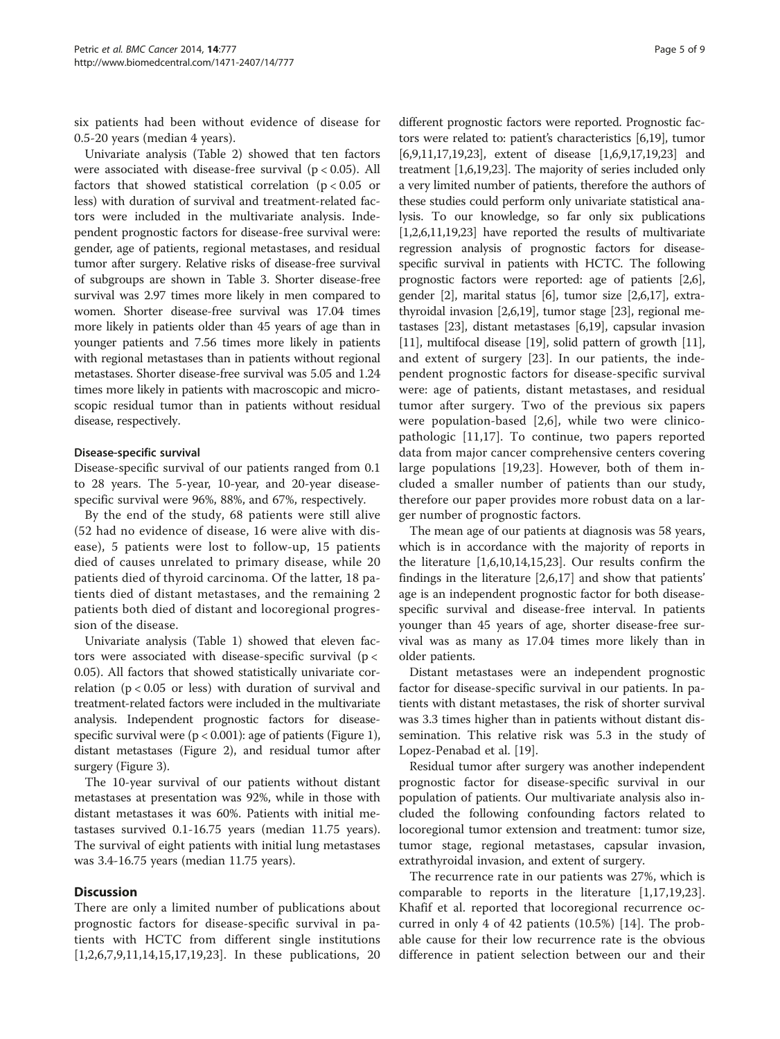six patients had been without evidence of disease for 0.5-20 years (median 4 years).

Univariate analysis (Table [2](#page-5-0)) showed that ten factors were associated with disease-free survival  $(p < 0.05)$ . All factors that showed statistical correlation ( $p < 0.05$  or less) with duration of survival and treatment-related factors were included in the multivariate analysis. Independent prognostic factors for disease-free survival were: gender, age of patients, regional metastases, and residual tumor after surgery. Relative risks of disease-free survival of subgroups are shown in Table [3.](#page-6-0) Shorter disease-free survival was 2.97 times more likely in men compared to women. Shorter disease-free survival was 17.04 times more likely in patients older than 45 years of age than in younger patients and 7.56 times more likely in patients with regional metastases than in patients without regional metastases. Shorter disease-free survival was 5.05 and 1.24 times more likely in patients with macroscopic and microscopic residual tumor than in patients without residual disease, respectively.

### Disease-specific survival

Disease-specific survival of our patients ranged from 0.1 to 28 years. The 5-year, 10-year, and 20-year diseasespecific survival were 96%, 88%, and 67%, respectively.

By the end of the study, 68 patients were still alive (52 had no evidence of disease, 16 were alive with disease), 5 patients were lost to follow-up, 15 patients died of causes unrelated to primary disease, while 20 patients died of thyroid carcinoma. Of the latter, 18 patients died of distant metastases, and the remaining 2 patients both died of distant and locoregional progression of the disease.

Univariate analysis (Table [1\)](#page-2-0) showed that eleven factors were associated with disease-specific survival ( $p <$ 0.05). All factors that showed statistically univariate correlation ( $p < 0.05$  or less) with duration of survival and treatment-related factors were included in the multivariate analysis. Independent prognostic factors for diseasespecific survival were  $(p < 0.001)$ : age of patients (Figure [1](#page-6-0)), distant metastases (Figure [2](#page-6-0)), and residual tumor after surgery (Figure [3](#page-6-0)).

The 10-year survival of our patients without distant metastases at presentation was 92%, while in those with distant metastases it was 60%. Patients with initial metastases survived 0.1-16.75 years (median 11.75 years). The survival of eight patients with initial lung metastases was 3.4-16.75 years (median 11.75 years).

## **Discussion**

There are only a limited number of publications about prognostic factors for disease-specific survival in patients with HCTC from different single institutions [[1,2,6](#page-8-0),[7,9,11](#page-8-0),[14,15,17,19](#page-8-0),[23\]](#page-8-0). In these publications, 20

different prognostic factors were reported. Prognostic factors were related to: patient's characteristics [[6,19](#page-8-0)], tumor [[6,9](#page-8-0),[11,17,19,23](#page-8-0)], extent of disease [[1,6,9,17,19,23](#page-8-0)] and treatment [\[1,6,19,23\]](#page-8-0). The majority of series included only a very limited number of patients, therefore the authors of these studies could perform only univariate statistical analysis. To our knowledge, so far only six publications [[1,2](#page-8-0),[6,11,19,23](#page-8-0)] have reported the results of multivariate regression analysis of prognostic factors for diseasespecific survival in patients with HCTC. The following prognostic factors were reported: age of patients [[2,6](#page-8-0)], gender [\[2](#page-8-0)], marital status [[6](#page-8-0)], tumor size [\[2,6,17\]](#page-8-0), extrathyroidal invasion [[2,6,19](#page-8-0)], tumor stage [\[23\]](#page-8-0), regional metastases [\[23\]](#page-8-0), distant metastases [\[6,19\]](#page-8-0), capsular invasion [[11](#page-8-0)], multifocal disease [\[19](#page-8-0)], solid pattern of growth [11], and extent of surgery [[23\]](#page-8-0). In our patients, the independent prognostic factors for disease-specific survival were: age of patients, distant metastases, and residual tumor after surgery. Two of the previous six papers were population-based [[2,6\]](#page-8-0), while two were clinicopathologic [[11,17\]](#page-8-0). To continue, two papers reported data from major cancer comprehensive centers covering large populations [[19,23](#page-8-0)]. However, both of them included a smaller number of patients than our study, therefore our paper provides more robust data on a larger number of prognostic factors.

The mean age of our patients at diagnosis was 58 years, which is in accordance with the majority of reports in the literature [\[1,6,10,14,15,23\]](#page-8-0). Our results confirm the findings in the literature [[2,6,17\]](#page-8-0) and show that patients' age is an independent prognostic factor for both diseasespecific survival and disease-free interval. In patients younger than 45 years of age, shorter disease-free survival was as many as 17.04 times more likely than in older patients.

Distant metastases were an independent prognostic factor for disease-specific survival in our patients. In patients with distant metastases, the risk of shorter survival was 3.3 times higher than in patients without distant dissemination. This relative risk was 5.3 in the study of Lopez-Penabad et al. [[19\]](#page-8-0).

Residual tumor after surgery was another independent prognostic factor for disease-specific survival in our population of patients. Our multivariate analysis also included the following confounding factors related to locoregional tumor extension and treatment: tumor size, tumor stage, regional metastases, capsular invasion, extrathyroidal invasion, and extent of surgery.

The recurrence rate in our patients was 27%, which is comparable to reports in the literature [\[1](#page-8-0),[17,19,23](#page-8-0)]. Khafif et al. reported that locoregional recurrence occurred in only 4 of 42 patients (10.5%) [\[14](#page-8-0)]. The probable cause for their low recurrence rate is the obvious difference in patient selection between our and their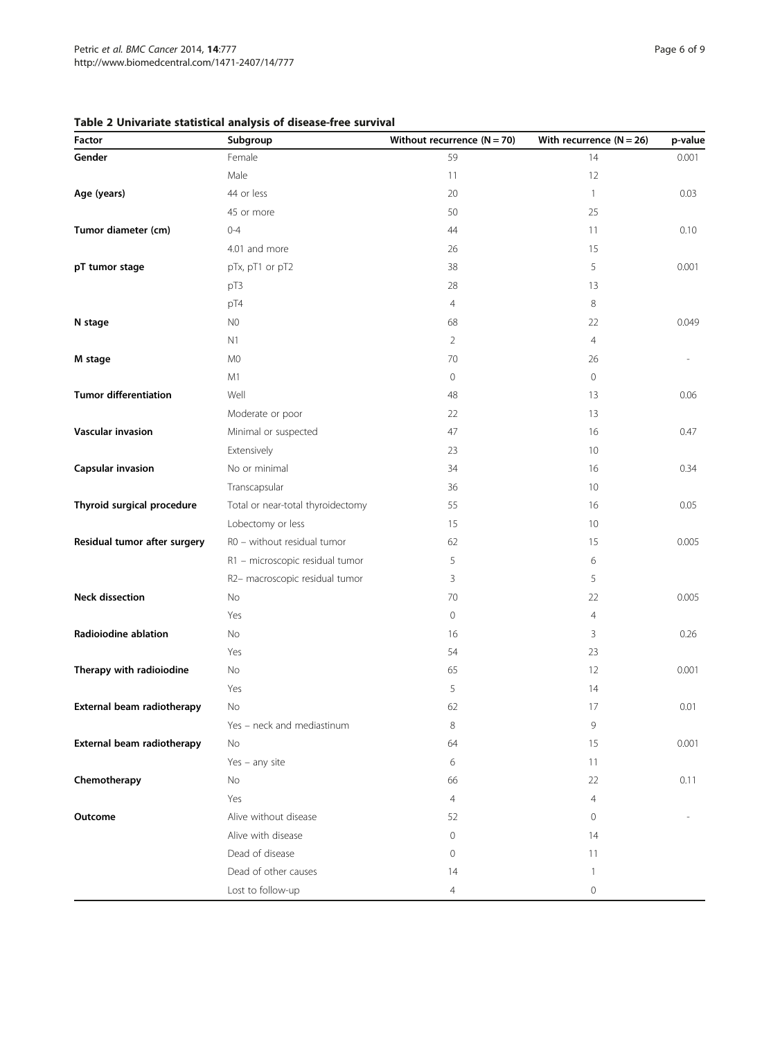<span id="page-5-0"></span>

| Table 2 Univariate statistical analysis of disease-free survival |  |  |
|------------------------------------------------------------------|--|--|
|------------------------------------------------------------------|--|--|

| Factor                       | Subgroup                          | Without recurrence $(N = 70)$ | With recurrence $(N = 26)$ | p-value |
|------------------------------|-----------------------------------|-------------------------------|----------------------------|---------|
| Gender                       | Female                            | 59                            | 14                         | 0.001   |
|                              | Male                              | 11                            | 12                         |         |
| Age (years)                  | 44 or less                        | 20                            | $\mathbf{1}$               | 0.03    |
|                              | 45 or more                        | 50                            | 25                         |         |
| Tumor diameter (cm)          | $0 - 4$                           | 44                            | 11                         | 0.10    |
|                              | 4.01 and more                     | 26                            | 15                         |         |
| pT tumor stage               | pTx, pT1 or pT2                   | 38                            | 5                          | 0.001   |
|                              | pT3                               | 28                            | 13                         |         |
|                              | pT4                               | $\overline{4}$                | 8                          |         |
| N stage                      | N <sub>0</sub>                    | 68                            | 22                         | 0.049   |
|                              | N1                                | $\overline{2}$                | $\overline{4}$             |         |
| M stage                      | M0                                | 70                            | 26                         |         |
|                              | M1                                | $\mathbf 0$                   | 0                          |         |
| <b>Tumor differentiation</b> | Well                              | 48                            | 13                         | 0.06    |
|                              | Moderate or poor                  | 22                            | 13                         |         |
| Vascular invasion            | Minimal or suspected              | 47                            | 16                         | 0.47    |
|                              | Extensively                       | 23                            | 10                         |         |
| Capsular invasion            | No or minimal                     | 34                            | 16                         | 0.34    |
|                              | Transcapsular                     | 36                            | 10                         |         |
| Thyroid surgical procedure   | Total or near-total thyroidectomy | 55                            | 16                         | 0.05    |
|                              | Lobectomy or less                 | 15                            | 10                         |         |
| Residual tumor after surgery | R0 - without residual tumor       | 62                            | 15                         | 0.005   |
|                              | R1 - microscopic residual tumor   | 5                             | 6                          |         |
|                              | R2- macroscopic residual tumor    | 3                             | 5                          |         |
| <b>Neck dissection</b>       | No                                | 70                            | 22                         | 0.005   |
|                              | Yes                               | $\circ$                       | $\overline{4}$             |         |
| Radioiodine ablation         | No                                | 16                            | 3                          | 0.26    |
|                              | Yes                               | 54                            | 23                         |         |
| Therapy with radioiodine     | No                                | 65                            | 12                         | 0.001   |
|                              | Yes                               | 5                             | 14                         |         |
| External beam radiotherapy   | No                                | 62                            | 17                         | 0.01    |
|                              | Yes - neck and mediastinum        | 8                             | 9                          |         |
| External beam radiotherapy   | No                                | 64                            | 15                         | 0.001   |
|                              | Yes $-$ any site                  | 6                             | 11                         |         |
| Chemotherapy                 | No                                | 66                            | 22                         | 0.11    |
|                              | Yes                               | 4                             | $\overline{4}$             |         |
| Outcome                      | Alive without disease             | 52                            | 0                          |         |
|                              | Alive with disease                | 0                             | 14                         |         |
|                              | Dead of disease                   | 0                             | 11                         |         |
|                              | Dead of other causes              | 14                            | 1                          |         |
|                              | Lost to follow-up                 | $\overline{4}$                | 0                          |         |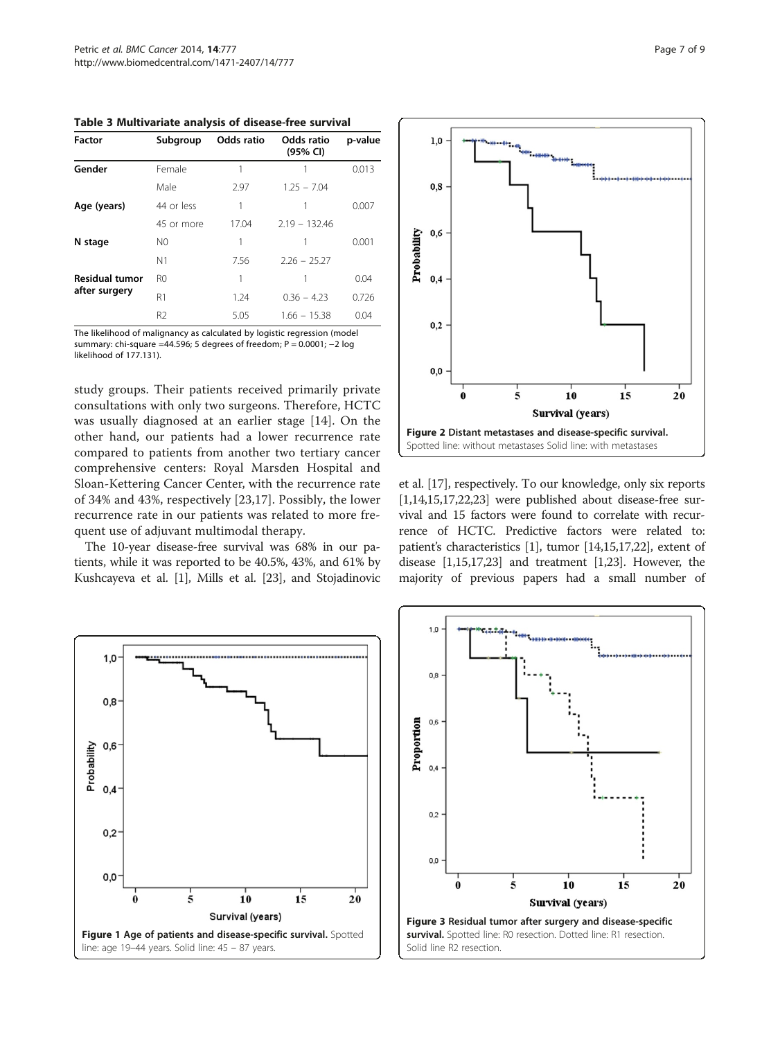<span id="page-6-0"></span>Table 3 Multivariate analysis of disease-free survival

| Factor                | Subgroup       | Odds ratio | <b>Odds ratio</b><br>(95% CI) | p-value |
|-----------------------|----------------|------------|-------------------------------|---------|
| Gender                | Female         |            |                               | 0.013   |
|                       | Male           | 2.97       | $1.25 - 7.04$                 |         |
| Age (years)           | 44 or less     | 1          |                               | 0.007   |
|                       | 45 or more     | 17.04      | $2.19 - 132.46$               |         |
| N stage               | N0             | 1          |                               | 0.001   |
|                       | N <sub>1</sub> | 7.56       | $2.26 - 25.27$                |         |
| <b>Residual tumor</b> | R0             | 1          |                               | 0.04    |
| after surgery         | R1             | 1.24       | $0.36 - 4.23$                 | 0.726   |
|                       | R2             | 5.05       | $1.66 - 15.38$                | 0.04    |

The likelihood of malignancy as calculated by logistic regression (model summary: chi-square =44.596; 5 degrees of freedom; P = 0.0001; −2 log likelihood of 177.131).

study groups. Their patients received primarily private consultations with only two surgeons. Therefore, HCTC was usually diagnosed at an earlier stage [\[14](#page-8-0)]. On the other hand, our patients had a lower recurrence rate compared to patients from another two tertiary cancer comprehensive centers: Royal Marsden Hospital and Sloan-Kettering Cancer Center, with the recurrence rate of 34% and 43%, respectively [\[23](#page-8-0),[17\]](#page-8-0). Possibly, the lower recurrence rate in our patients was related to more frequent use of adjuvant multimodal therapy.

The 10-year disease-free survival was 68% in our patients, while it was reported to be 40.5%, 43%, and 61% by Kushcayeva et al. [\[1\]](#page-8-0), Mills et al. [\[23\]](#page-8-0), and Stojadinovic



et al. [\[17](#page-8-0)], respectively. To our knowledge, only six reports  $[1,14,15,17,22,23]$  $[1,14,15,17,22,23]$  were published about disease-free survival and 15 factors were found to correlate with recurrence of HCTC. Predictive factors were related to: patient's characteristics [\[1\]](#page-8-0), tumor [\[14,15,17,22\]](#page-8-0), extent of disease [\[1,15,17,23\]](#page-8-0) and treatment [[1,23\]](#page-8-0). However, the majority of previous papers had a small number of



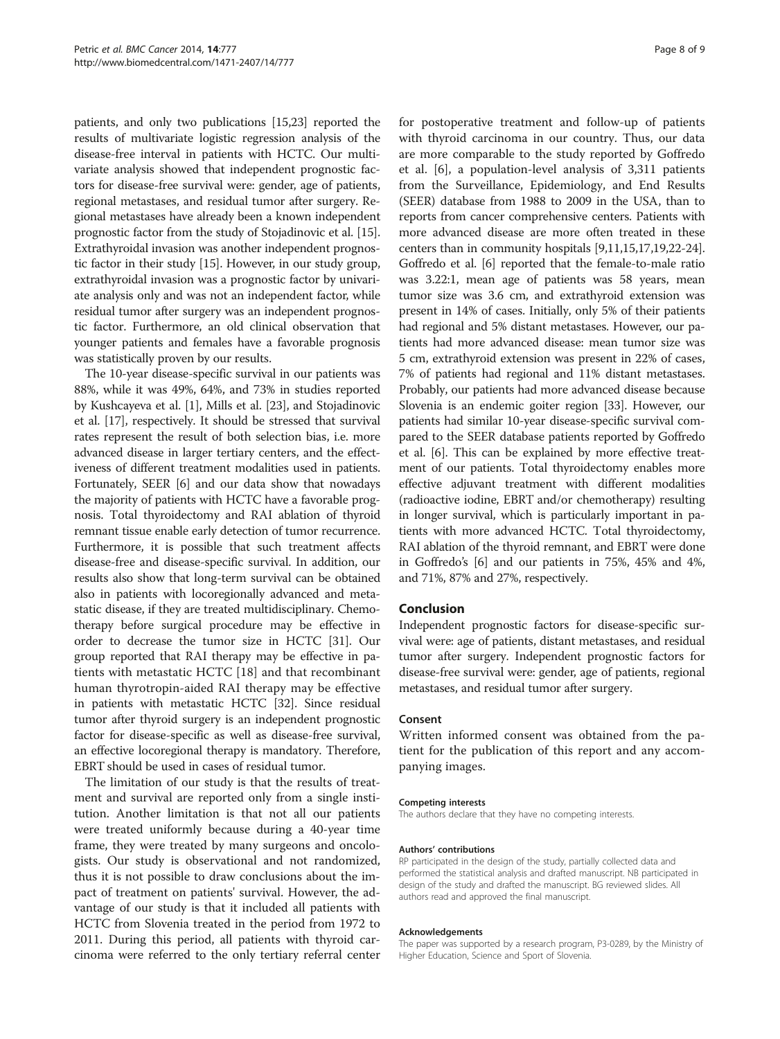patients, and only two publications [[15,23\]](#page-8-0) reported the results of multivariate logistic regression analysis of the disease-free interval in patients with HCTC. Our multivariate analysis showed that independent prognostic factors for disease-free survival were: gender, age of patients, regional metastases, and residual tumor after surgery. Regional metastases have already been a known independent prognostic factor from the study of Stojadinovic et al. [[15](#page-8-0)]. Extrathyroidal invasion was another independent prognostic factor in their study [\[15\]](#page-8-0). However, in our study group, extrathyroidal invasion was a prognostic factor by univariate analysis only and was not an independent factor, while residual tumor after surgery was an independent prognostic factor. Furthermore, an old clinical observation that younger patients and females have a favorable prognosis was statistically proven by our results.

The 10-year disease-specific survival in our patients was 88%, while it was 49%, 64%, and 73% in studies reported by Kushcayeva et al. [\[1](#page-8-0)], Mills et al. [\[23\]](#page-8-0), and Stojadinovic et al. [[17](#page-8-0)], respectively. It should be stressed that survival rates represent the result of both selection bias, i.e. more advanced disease in larger tertiary centers, and the effectiveness of different treatment modalities used in patients. Fortunately, SEER [\[6](#page-8-0)] and our data show that nowadays the majority of patients with HCTC have a favorable prognosis. Total thyroidectomy and RAI ablation of thyroid remnant tissue enable early detection of tumor recurrence. Furthermore, it is possible that such treatment affects disease-free and disease-specific survival. In addition, our results also show that long-term survival can be obtained also in patients with locoregionally advanced and metastatic disease, if they are treated multidisciplinary. Chemotherapy before surgical procedure may be effective in order to decrease the tumor size in HCTC [\[31\]](#page-8-0). Our group reported that RAI therapy may be effective in patients with metastatic HCTC [[18\]](#page-8-0) and that recombinant human thyrotropin-aided RAI therapy may be effective in patients with metastatic HCTC [\[32\]](#page-8-0). Since residual tumor after thyroid surgery is an independent prognostic factor for disease-specific as well as disease-free survival, an effective locoregional therapy is mandatory. Therefore, EBRT should be used in cases of residual tumor.

The limitation of our study is that the results of treatment and survival are reported only from a single institution. Another limitation is that not all our patients were treated uniformly because during a 40-year time frame, they were treated by many surgeons and oncologists. Our study is observational and not randomized, thus it is not possible to draw conclusions about the impact of treatment on patients' survival. However, the advantage of our study is that it included all patients with HCTC from Slovenia treated in the period from 1972 to 2011. During this period, all patients with thyroid carcinoma were referred to the only tertiary referral center for postoperative treatment and follow-up of patients with thyroid carcinoma in our country. Thus, our data are more comparable to the study reported by Goffredo et al. [[6](#page-8-0)], a population-level analysis of 3,311 patients from the Surveillance, Epidemiology, and End Results (SEER) database from 1988 to 2009 in the USA, than to reports from cancer comprehensive centers. Patients with more advanced disease are more often treated in these centers than in community hospitals [\[9,11,15,17,19,22](#page-8-0)-[24](#page-8-0)]. Goffredo et al. [[6\]](#page-8-0) reported that the female-to-male ratio was 3.22:1, mean age of patients was 58 years, mean tumor size was 3.6 cm, and extrathyroid extension was present in 14% of cases. Initially, only 5% of their patients had regional and 5% distant metastases. However, our patients had more advanced disease: mean tumor size was 5 cm, extrathyroid extension was present in 22% of cases, 7% of patients had regional and 11% distant metastases. Probably, our patients had more advanced disease because Slovenia is an endemic goiter region [\[33\]](#page-8-0). However, our patients had similar 10-year disease-specific survival compared to the SEER database patients reported by Goffredo et al. [\[6](#page-8-0)]. This can be explained by more effective treatment of our patients. Total thyroidectomy enables more effective adjuvant treatment with different modalities (radioactive iodine, EBRT and/or chemotherapy) resulting in longer survival, which is particularly important in patients with more advanced HCTC. Total thyroidectomy, RAI ablation of the thyroid remnant, and EBRT were done in Goffredo's [[6\]](#page-8-0) and our patients in 75%, 45% and 4%, and 71%, 87% and 27%, respectively.

#### Conclusion

Independent prognostic factors for disease-specific survival were: age of patients, distant metastases, and residual tumor after surgery. Independent prognostic factors for disease-free survival were: gender, age of patients, regional metastases, and residual tumor after surgery.

### Consent

Written informed consent was obtained from the patient for the publication of this report and any accompanying images.

#### Competing interests

The authors declare that they have no competing interests.

#### Authors' contributions

RP participated in the design of the study, partially collected data and performed the statistical analysis and drafted manuscript. NB participated in design of the study and drafted the manuscript. BG reviewed slides. All authors read and approved the final manuscript.

#### Acknowledgements

The paper was supported by a research program, P3-0289, by the Ministry of Higher Education, Science and Sport of Slovenia.